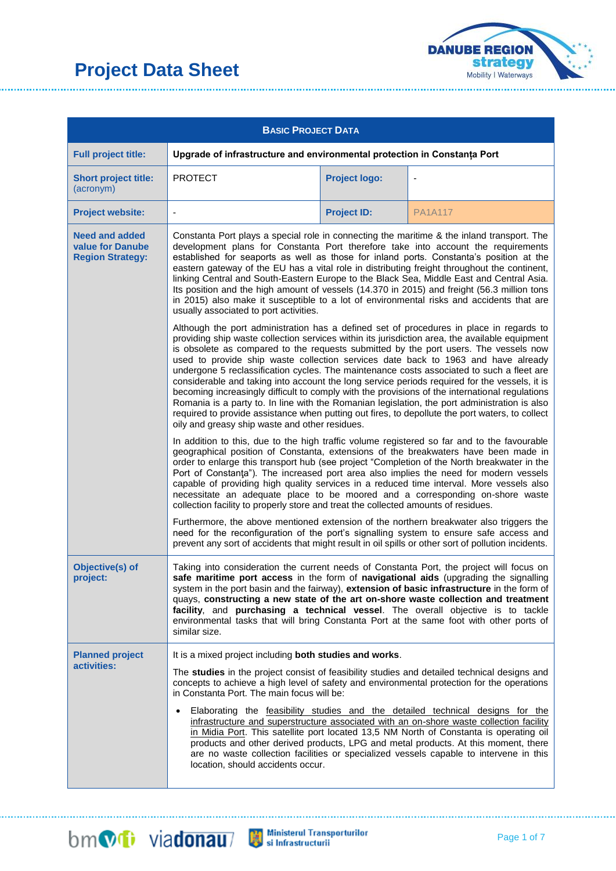

| <b>BASIC PROJECT DATA</b>                                            |                                                                                                                                                                                                                                                                                                                                                                                                                                                                                                                                                                                                                                                                                                                                          |                                                                                                                                                                                                                                                                                                                                                                                                                                                                                                                                                                                                                                                                                                                                                                                                                                                                                                                              |                |  |  |
|----------------------------------------------------------------------|------------------------------------------------------------------------------------------------------------------------------------------------------------------------------------------------------------------------------------------------------------------------------------------------------------------------------------------------------------------------------------------------------------------------------------------------------------------------------------------------------------------------------------------------------------------------------------------------------------------------------------------------------------------------------------------------------------------------------------------|------------------------------------------------------------------------------------------------------------------------------------------------------------------------------------------------------------------------------------------------------------------------------------------------------------------------------------------------------------------------------------------------------------------------------------------------------------------------------------------------------------------------------------------------------------------------------------------------------------------------------------------------------------------------------------------------------------------------------------------------------------------------------------------------------------------------------------------------------------------------------------------------------------------------------|----------------|--|--|
| <b>Full project title:</b>                                           | Upgrade of infrastructure and environmental protection in Constanța Port                                                                                                                                                                                                                                                                                                                                                                                                                                                                                                                                                                                                                                                                 |                                                                                                                                                                                                                                                                                                                                                                                                                                                                                                                                                                                                                                                                                                                                                                                                                                                                                                                              |                |  |  |
| <b>Short project title:</b><br>(acronym)                             | <b>PROTECT</b>                                                                                                                                                                                                                                                                                                                                                                                                                                                                                                                                                                                                                                                                                                                           | <b>Project logo:</b>                                                                                                                                                                                                                                                                                                                                                                                                                                                                                                                                                                                                                                                                                                                                                                                                                                                                                                         |                |  |  |
| <b>Project website:</b>                                              |                                                                                                                                                                                                                                                                                                                                                                                                                                                                                                                                                                                                                                                                                                                                          | <b>Project ID:</b>                                                                                                                                                                                                                                                                                                                                                                                                                                                                                                                                                                                                                                                                                                                                                                                                                                                                                                           | <b>PA1A117</b> |  |  |
| <b>Need and added</b><br>value for Danube<br><b>Region Strategy:</b> | Constanta Port plays a special role in connecting the maritime & the inland transport. The<br>development plans for Constanta Port therefore take into account the requirements<br>established for seaports as well as those for inland ports. Constanta's position at the<br>eastern gateway of the EU has a vital role in distributing freight throughout the continent,<br>linking Central and South-Eastern Europe to the Black Sea, Middle East and Central Asia.<br>Its position and the high amount of vessels (14.370 in 2015) and freight (56.3 million tons<br>in 2015) also make it susceptible to a lot of environmental risks and accidents that are<br>usually associated to port activities.                              |                                                                                                                                                                                                                                                                                                                                                                                                                                                                                                                                                                                                                                                                                                                                                                                                                                                                                                                              |                |  |  |
|                                                                      |                                                                                                                                                                                                                                                                                                                                                                                                                                                                                                                                                                                                                                                                                                                                          | Although the port administration has a defined set of procedures in place in regards to<br>providing ship waste collection services within its jurisdiction area, the available equipment<br>is obsolete as compared to the requests submitted by the port users. The vessels now<br>used to provide ship waste collection services date back to 1963 and have already<br>undergone 5 reclassification cycles. The maintenance costs associated to such a fleet are<br>considerable and taking into account the long service periods required for the vessels, it is<br>becoming increasingly difficult to comply with the provisions of the international regulations<br>Romania is a party to. In line with the Romanian legislation, the port administration is also<br>required to provide assistance when putting out fires, to depollute the port waters, to collect<br>oily and greasy ship waste and other residues. |                |  |  |
|                                                                      | In addition to this, due to the high traffic volume registered so far and to the favourable<br>geographical position of Constanta, extensions of the breakwaters have been made in<br>order to enlarge this transport hub (see project "Completion of the North breakwater in the<br>Port of Constanta"). The increased port area also implies the need for modern vessels<br>capable of providing high quality services in a reduced time interval. More vessels also<br>necessitate an adequate place to be moored and a corresponding on-shore waste<br>collection facility to properly store and treat the collected amounts of residues.<br>Furthermore, the above mentioned extension of the northern breakwater also triggers the |                                                                                                                                                                                                                                                                                                                                                                                                                                                                                                                                                                                                                                                                                                                                                                                                                                                                                                                              |                |  |  |
|                                                                      | need for the reconfiguration of the port's signalling system to ensure safe access and<br>prevent any sort of accidents that might result in oil spills or other sort of pollution incidents.                                                                                                                                                                                                                                                                                                                                                                                                                                                                                                                                            |                                                                                                                                                                                                                                                                                                                                                                                                                                                                                                                                                                                                                                                                                                                                                                                                                                                                                                                              |                |  |  |
| Objective(s) of<br>project:                                          | Taking into consideration the current needs of Constanta Port, the project will focus on<br>safe maritime port access in the form of navigational aids (upgrading the signalling<br>system in the port basin and the fairway), extension of basic infrastructure in the form of<br>quays, constructing a new state of the art on-shore waste collection and treatment<br>facility, and purchasing a technical vessel. The overall objective is to tackle<br>environmental tasks that will bring Constanta Port at the same foot with other ports of<br>similar size.                                                                                                                                                                     |                                                                                                                                                                                                                                                                                                                                                                                                                                                                                                                                                                                                                                                                                                                                                                                                                                                                                                                              |                |  |  |
| <b>Planned project</b>                                               | It is a mixed project including both studies and works.                                                                                                                                                                                                                                                                                                                                                                                                                                                                                                                                                                                                                                                                                  |                                                                                                                                                                                                                                                                                                                                                                                                                                                                                                                                                                                                                                                                                                                                                                                                                                                                                                                              |                |  |  |
| activities:                                                          | The studies in the project consist of feasibility studies and detailed technical designs and<br>concepts to achieve a high level of safety and environmental protection for the operations<br>in Constanta Port. The main focus will be:<br>Elaborating the feasibility studies and the detailed technical designs for the<br>infrastructure and superstructure associated with an on-shore waste collection facility<br>in Midia Port. This satellite port located 13,5 NM North of Constanta is operating oil<br>products and other derived products, LPG and metal products. At this moment, there<br>are no waste collection facilities or specialized vessels capable to intervene in this<br>location, should accidents occur.     |                                                                                                                                                                                                                                                                                                                                                                                                                                                                                                                                                                                                                                                                                                                                                                                                                                                                                                                              |                |  |  |

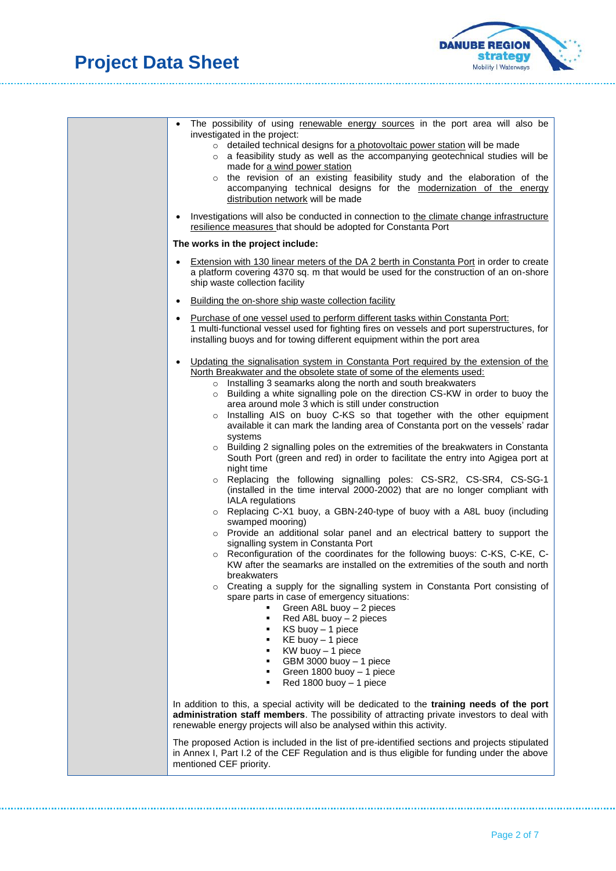

...................

| The possibility of using renewable energy sources in the port area will also be<br>$\bullet$<br>investigated in the project:<br>o detailed technical designs for a photovoltaic power station will be made<br>a feasibility study as well as the accompanying geotechnical studies will be<br>$\circ$<br>made for a wind power station<br>o the revision of an existing feasibility study and the elaboration of the<br>accompanying technical designs for the modernization of the energy<br>distribution network will be made                                                                                                                                                                                                                                                                                                                                                                                                                                                                                                                                                                                                                                                                                                                                                                                                                                                                                                                                                                                                                                                                                                                                                                                                                                                                                                 |
|---------------------------------------------------------------------------------------------------------------------------------------------------------------------------------------------------------------------------------------------------------------------------------------------------------------------------------------------------------------------------------------------------------------------------------------------------------------------------------------------------------------------------------------------------------------------------------------------------------------------------------------------------------------------------------------------------------------------------------------------------------------------------------------------------------------------------------------------------------------------------------------------------------------------------------------------------------------------------------------------------------------------------------------------------------------------------------------------------------------------------------------------------------------------------------------------------------------------------------------------------------------------------------------------------------------------------------------------------------------------------------------------------------------------------------------------------------------------------------------------------------------------------------------------------------------------------------------------------------------------------------------------------------------------------------------------------------------------------------------------------------------------------------------------------------------------------------|
| Investigations will also be conducted in connection to the climate change infrastructure<br>resilience measures that should be adopted for Constanta Port                                                                                                                                                                                                                                                                                                                                                                                                                                                                                                                                                                                                                                                                                                                                                                                                                                                                                                                                                                                                                                                                                                                                                                                                                                                                                                                                                                                                                                                                                                                                                                                                                                                                       |
| The works in the project include:                                                                                                                                                                                                                                                                                                                                                                                                                                                                                                                                                                                                                                                                                                                                                                                                                                                                                                                                                                                                                                                                                                                                                                                                                                                                                                                                                                                                                                                                                                                                                                                                                                                                                                                                                                                               |
| Extension with 130 linear meters of the DA 2 berth in Constanta Port in order to create<br>a platform covering 4370 sq. m that would be used for the construction of an on-shore<br>ship waste collection facility                                                                                                                                                                                                                                                                                                                                                                                                                                                                                                                                                                                                                                                                                                                                                                                                                                                                                                                                                                                                                                                                                                                                                                                                                                                                                                                                                                                                                                                                                                                                                                                                              |
| Building the on-shore ship waste collection facility<br>$\bullet$                                                                                                                                                                                                                                                                                                                                                                                                                                                                                                                                                                                                                                                                                                                                                                                                                                                                                                                                                                                                                                                                                                                                                                                                                                                                                                                                                                                                                                                                                                                                                                                                                                                                                                                                                               |
| • Purchase of one vessel used to perform different tasks within Constanta Port:<br>1 multi-functional vessel used for fighting fires on vessels and port superstructures, for<br>installing buoys and for towing different equipment within the port area                                                                                                                                                                                                                                                                                                                                                                                                                                                                                                                                                                                                                                                                                                                                                                                                                                                                                                                                                                                                                                                                                                                                                                                                                                                                                                                                                                                                                                                                                                                                                                       |
| • Updating the signalisation system in Constanta Port required by the extension of the<br>North Breakwater and the obsolete state of some of the elements used:<br>o Installing 3 seamarks along the north and south breakwaters<br>o Building a white signalling pole on the direction CS-KW in order to buoy the<br>area around mole 3 which is still under construction<br>Installing AIS on buoy C-KS so that together with the other equipment<br>$\circ$<br>available it can mark the landing area of Constanta port on the vessels' radar<br>systems<br>o Building 2 signalling poles on the extremities of the breakwaters in Constanta<br>South Port (green and red) in order to facilitate the entry into Agigea port at<br>night time<br>o Replacing the following signalling poles: CS-SR2, CS-SR4, CS-SG-1<br>(installed in the time interval 2000-2002) that are no longer compliant with<br><b>IALA</b> regulations<br>o Replacing C-X1 buoy, a GBN-240-type of buoy with a A8L buoy (including<br>swamped mooring)<br>o Provide an additional solar panel and an electrical battery to support the<br>signalling system in Constanta Port<br>o Reconfiguration of the coordinates for the following buoys: C-KS, C-KE, C-<br>KW after the seamarks are installed on the extremities of the south and north<br>breakwaters<br>Creating a supply for the signalling system in Constanta Port consisting of<br>$\circ$<br>spare parts in case of emergency situations:<br>Green A8L buoy - 2 pieces<br>Red A8L buoy - 2 pieces<br>٠<br>KS buoy - 1 piece<br>٠<br>KE buoy - 1 piece<br>٠<br>KW buoy - 1 piece<br>٠<br>GBM 3000 buoy - 1 piece<br>٠<br>Green 1800 buoy - 1 piece<br>٠<br>Red 1800 buoy - 1 piece<br>٠<br>In addition to this, a special activity will be dedicated to the training needs of the port |
| administration staff members. The possibility of attracting private investors to deal with<br>renewable energy projects will also be analysed within this activity.<br>The proposed Action is included in the list of pre-identified sections and projects stipulated                                                                                                                                                                                                                                                                                                                                                                                                                                                                                                                                                                                                                                                                                                                                                                                                                                                                                                                                                                                                                                                                                                                                                                                                                                                                                                                                                                                                                                                                                                                                                           |
| in Annex I, Part I.2 of the CEF Regulation and is thus eligible for funding under the above<br>mentioned CEF priority.                                                                                                                                                                                                                                                                                                                                                                                                                                                                                                                                                                                                                                                                                                                                                                                                                                                                                                                                                                                                                                                                                                                                                                                                                                                                                                                                                                                                                                                                                                                                                                                                                                                                                                          |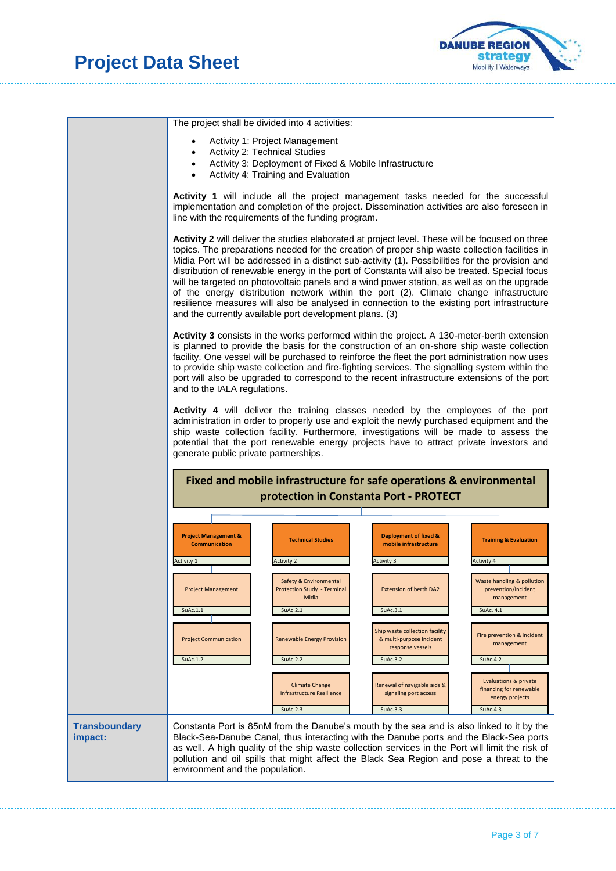

The project shall be divided into 4 activities: • Activity 1: Project Management • Activity 2: Technical Studies • Activity 3: Deployment of Fixed & Mobile Infrastructure • Activity 4: Training and Evaluation **Activity 1** will include all the project management tasks needed for the successful implementation and completion of the project. Dissemination activities are also foreseen in line with the requirements of the funding program. **Activity 2** will deliver the studies elaborated at project level. These will be focused on three topics. The preparations needed for the creation of proper ship waste collection facilities in Midia Port will be addressed in a distinct sub-activity (1). Possibilities for the provision and distribution of renewable energy in the port of Constanta will also be treated. Special focus will be targeted on photovoltaic panels and a wind power station, as well as on the upgrade of the energy distribution network within the port (2). Climate change infrastructure resilience measures will also be analysed in connection to the existing port infrastructure and the currently available port development plans. (3) **Activity 3** consists in the works performed within the project. A 130-meter-berth extension is planned to provide the basis for the construction of an on-shore ship waste collection facility. One vessel will be purchased to reinforce the fleet the port administration now uses to provide ship waste collection and fire-fighting services. The signalling system within the port will also be upgraded to correspond to the recent infrastructure extensions of the port and to the IALA regulations. **Activity 4** will deliver the training classes needed by the employees of the port administration in order to properly use and exploit the newly purchased equipment and the ship waste collection facility. Furthermore, investigations will be made to assess the potential that the port renewable energy projects have to attract private investors and generate public private partnerships. Activity 1 Activity 2 Activity 2 Activity 3 Activity 4 Activity 4 Activity 4 Activity 4 Activity 4 Activity 4 SuAc.1.1 SuAc.2.1 SuAc.2.1 SuAc.3.1 SuAc.3.1 SuAc.4.1 SuAc.1.2 SuAc.2.2 SuAc.3.2 SuAc.4.2 SuAc.2.3 SuAc.3.3 SuAc.3.3 SuAc.4.3 **Fixed and mobile infrastructure for safe operations & environmental protection in Constanta Port - PROTECT** Safety & Environmental Protection Study - Termina Midi-Renewable Energy Provision Climate Change Infrastructure Resilience Extension of berth DA2 **Ship waste collection facility** & multi-purpose incident response vessels newal of navigable aids 8 signaling port access **Project Management & Communication Technical Studies Deployment of fixed & mobile infrastructure** Project Management Project Communication **Training & Evaluation** Waste handling & pollution prevention/incident management revention & incident management Evaluations & private financing for renewable energy projects **Transboundary impact:** Constanta Port is 85nM from the Danube's mouth by the sea and is also linked to it by the Black-Sea-Danube Canal, thus interacting with the Danube ports and the Black-Sea ports as well. A high quality of the ship waste collection services in the Port will limit the risk of pollution and oil spills that might affect the Black Sea Region and pose a threat to the environment and the population.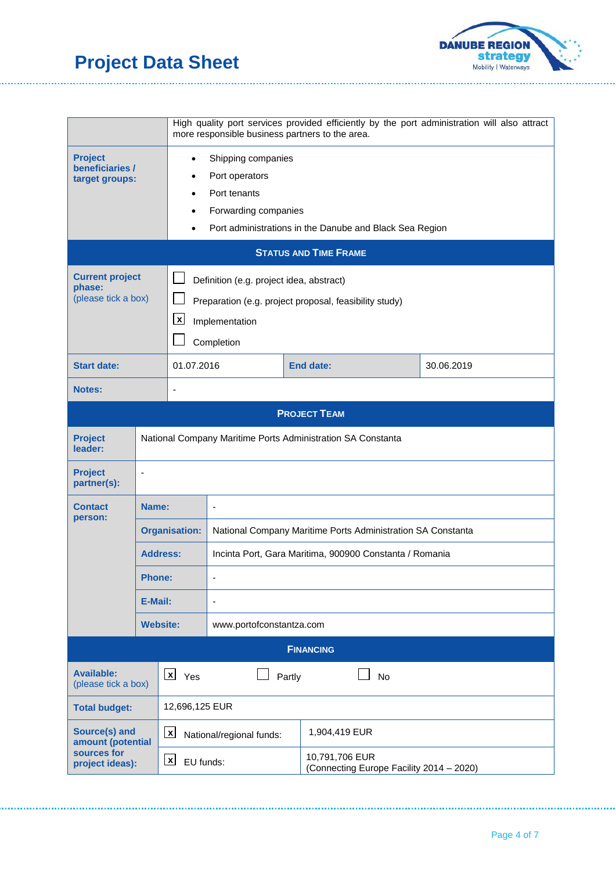

. . . . . . . . . . . . . . . . . . . .

|                                                                      |                                                                       | High quality port services provided efficiently by the port administration will also attract<br>more responsible business partners to the area.                                                  |                                                                                                                      |  |                                                            |            |
|----------------------------------------------------------------------|-----------------------------------------------------------------------|--------------------------------------------------------------------------------------------------------------------------------------------------------------------------------------------------|----------------------------------------------------------------------------------------------------------------------|--|------------------------------------------------------------|------------|
| <b>Project</b><br>beneficiaries /<br>target groups:                  |                                                                       | Shipping companies<br>$\bullet$<br>Port operators<br>٠<br>Port tenants<br>$\bullet$<br>Forwarding companies<br>$\bullet$<br>Port administrations in the Danube and Black Sea Region<br>$\bullet$ |                                                                                                                      |  |                                                            |            |
| <b>STATUS AND TIME FRAME</b>                                         |                                                                       |                                                                                                                                                                                                  |                                                                                                                      |  |                                                            |            |
| <b>Current project</b><br>phase:<br>(please tick a box)              | $\boldsymbol{\mathsf{x}}$<br>Completion                               |                                                                                                                                                                                                  | Definition (e.g. project idea, abstract)<br>Preparation (e.g. project proposal, feasibility study)<br>Implementation |  |                                                            |            |
| <b>Start date:</b>                                                   |                                                                       | 01.07.2016                                                                                                                                                                                       |                                                                                                                      |  | <b>End date:</b>                                           | 30.06.2019 |
| <b>Notes:</b>                                                        |                                                                       |                                                                                                                                                                                                  |                                                                                                                      |  |                                                            |            |
|                                                                      |                                                                       |                                                                                                                                                                                                  |                                                                                                                      |  | <b>PROJECT TEAM</b>                                        |            |
| <b>Project</b><br>leader:                                            |                                                                       | National Company Maritime Ports Administration SA Constanta                                                                                                                                      |                                                                                                                      |  |                                                            |            |
| <b>Project</b><br>partner(s):                                        |                                                                       |                                                                                                                                                                                                  |                                                                                                                      |  |                                                            |            |
| <b>Contact</b><br>person:                                            | Name:                                                                 |                                                                                                                                                                                                  | $\frac{1}{2}$                                                                                                        |  |                                                            |            |
|                                                                      |                                                                       | <b>Organisation:</b>                                                                                                                                                                             | National Company Maritime Ports Administration SA Constanta                                                          |  |                                                            |            |
|                                                                      | <b>Address:</b>                                                       |                                                                                                                                                                                                  | Incinta Port, Gara Maritima, 900900 Constanta / Romania                                                              |  |                                                            |            |
|                                                                      | Phone:                                                                |                                                                                                                                                                                                  |                                                                                                                      |  |                                                            |            |
|                                                                      | E-Mail:                                                               |                                                                                                                                                                                                  |                                                                                                                      |  |                                                            |            |
| <b>Website:</b><br>www.portofconstantza.com                          |                                                                       |                                                                                                                                                                                                  |                                                                                                                      |  |                                                            |            |
|                                                                      |                                                                       |                                                                                                                                                                                                  |                                                                                                                      |  | <b>FINANCING</b>                                           |            |
| <b>Available:</b>                                                    | $\lfloor x \rfloor$ Yes<br><b>No</b><br>Partly<br>(please tick a box) |                                                                                                                                                                                                  |                                                                                                                      |  |                                                            |            |
| <b>Total budget:</b>                                                 | 12,696,125 EUR                                                        |                                                                                                                                                                                                  |                                                                                                                      |  |                                                            |            |
| Source(s) and<br>amount (potential<br>sources for<br>project ideas): |                                                                       | $\lfloor x \rfloor$                                                                                                                                                                              | 1,904,419 EUR<br>National/regional funds:                                                                            |  |                                                            |            |
|                                                                      |                                                                       | $\lfloor x \rfloor$<br>EU funds:                                                                                                                                                                 |                                                                                                                      |  | 10,791,706 EUR<br>(Connecting Europe Facility 2014 - 2020) |            |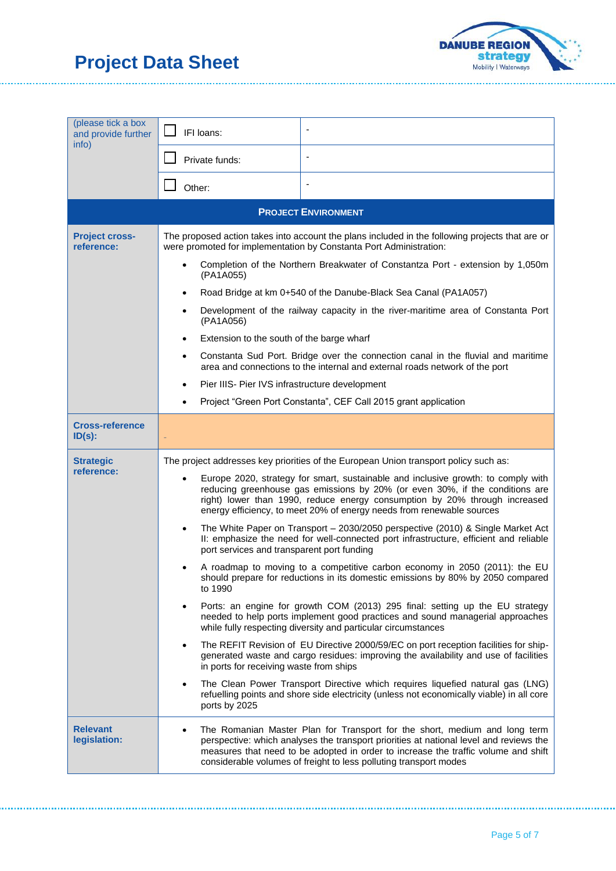

...................

| (please tick a box                  |                                                                                                                                                                                                                                                                                                                                              |                                                                                                                                                                                                                                                                                                                                                                                                                                                                                                                                                                                                                                                                                                                                                                                                                                                                                                                                                                                                                                                                                                                                                                                                                                                                                                                                                                |  |
|-------------------------------------|----------------------------------------------------------------------------------------------------------------------------------------------------------------------------------------------------------------------------------------------------------------------------------------------------------------------------------------------|----------------------------------------------------------------------------------------------------------------------------------------------------------------------------------------------------------------------------------------------------------------------------------------------------------------------------------------------------------------------------------------------------------------------------------------------------------------------------------------------------------------------------------------------------------------------------------------------------------------------------------------------------------------------------------------------------------------------------------------------------------------------------------------------------------------------------------------------------------------------------------------------------------------------------------------------------------------------------------------------------------------------------------------------------------------------------------------------------------------------------------------------------------------------------------------------------------------------------------------------------------------------------------------------------------------------------------------------------------------|--|
| and provide further<br>info)        | IFI loans:                                                                                                                                                                                                                                                                                                                                   | $\overline{\phantom{a}}$                                                                                                                                                                                                                                                                                                                                                                                                                                                                                                                                                                                                                                                                                                                                                                                                                                                                                                                                                                                                                                                                                                                                                                                                                                                                                                                                       |  |
|                                     | Private funds:                                                                                                                                                                                                                                                                                                                               |                                                                                                                                                                                                                                                                                                                                                                                                                                                                                                                                                                                                                                                                                                                                                                                                                                                                                                                                                                                                                                                                                                                                                                                                                                                                                                                                                                |  |
|                                     | Other:                                                                                                                                                                                                                                                                                                                                       |                                                                                                                                                                                                                                                                                                                                                                                                                                                                                                                                                                                                                                                                                                                                                                                                                                                                                                                                                                                                                                                                                                                                                                                                                                                                                                                                                                |  |
|                                     |                                                                                                                                                                                                                                                                                                                                              | <b>PROJECT ENVIRONMENT</b>                                                                                                                                                                                                                                                                                                                                                                                                                                                                                                                                                                                                                                                                                                                                                                                                                                                                                                                                                                                                                                                                                                                                                                                                                                                                                                                                     |  |
| <b>Project cross-</b><br>reference: | The proposed action takes into account the plans included in the following projects that are or<br>were promoted for implementation by Constanta Port Administration:<br>Completion of the Northern Breakwater of Constantza Port - extension by 1,050m<br>(PA1A055)<br>Road Bridge at km 0+540 of the Danube-Black Sea Canal (PA1A057)<br>٠ |                                                                                                                                                                                                                                                                                                                                                                                                                                                                                                                                                                                                                                                                                                                                                                                                                                                                                                                                                                                                                                                                                                                                                                                                                                                                                                                                                                |  |
|                                     | Development of the railway capacity in the river-maritime area of Constanta Port<br>٠<br>(PA1A056)                                                                                                                                                                                                                                           |                                                                                                                                                                                                                                                                                                                                                                                                                                                                                                                                                                                                                                                                                                                                                                                                                                                                                                                                                                                                                                                                                                                                                                                                                                                                                                                                                                |  |
|                                     | ٠                                                                                                                                                                                                                                                                                                                                            | Extension to the south of the barge wharf<br>Constanta Sud Port. Bridge over the connection canal in the fluvial and maritime<br>area and connections to the internal and external roads network of the port<br>Pier IIIS- Pier IVS infrastructure development<br>Project "Green Port Constanta", CEF Call 2015 grant application                                                                                                                                                                                                                                                                                                                                                                                                                                                                                                                                                                                                                                                                                                                                                                                                                                                                                                                                                                                                                              |  |
| <b>Cross-reference</b><br>$ID(s)$ : |                                                                                                                                                                                                                                                                                                                                              |                                                                                                                                                                                                                                                                                                                                                                                                                                                                                                                                                                                                                                                                                                                                                                                                                                                                                                                                                                                                                                                                                                                                                                                                                                                                                                                                                                |  |
| <b>Strategic</b><br>reference:      | ٠<br>port services and transparent port funding<br>to 1990<br>٠<br>in ports for receiving waste from ships<br>ports by 2025                                                                                                                                                                                                                  | The project addresses key priorities of the European Union transport policy such as:<br>Europe 2020, strategy for smart, sustainable and inclusive growth: to comply with<br>reducing greenhouse gas emissions by 20% (or even 30%, if the conditions are<br>right) lower than 1990, reduce energy consumption by 20% through increased<br>energy efficiency, to meet 20% of energy needs from renewable sources<br>The White Paper on Transport - 2030/2050 perspective (2010) & Single Market Act<br>II: emphasize the need for well-connected port infrastructure, efficient and reliable<br>A roadmap to moving to a competitive carbon economy in 2050 (2011): the EU<br>should prepare for reductions in its domestic emissions by 80% by 2050 compared<br>Ports: an engine for growth COM (2013) 295 final: setting up the EU strategy<br>needed to help ports implement good practices and sound managerial approaches<br>while fully respecting diversity and particular circumstances<br>The REFIT Revision of EU Directive 2000/59/EC on port reception facilities for ship-<br>generated waste and cargo residues: improving the availability and use of facilities<br>The Clean Power Transport Directive which requires liquefied natural gas (LNG)<br>refuelling points and shore side electricity (unless not economically viable) in all core |  |
| <b>Relevant</b><br>legislation:     |                                                                                                                                                                                                                                                                                                                                              | The Romanian Master Plan for Transport for the short, medium and long term<br>perspective: which analyses the transport priorities at national level and reviews the<br>measures that need to be adopted in order to increase the traffic volume and shift<br>considerable volumes of freight to less polluting transport modes                                                                                                                                                                                                                                                                                                                                                                                                                                                                                                                                                                                                                                                                                                                                                                                                                                                                                                                                                                                                                                |  |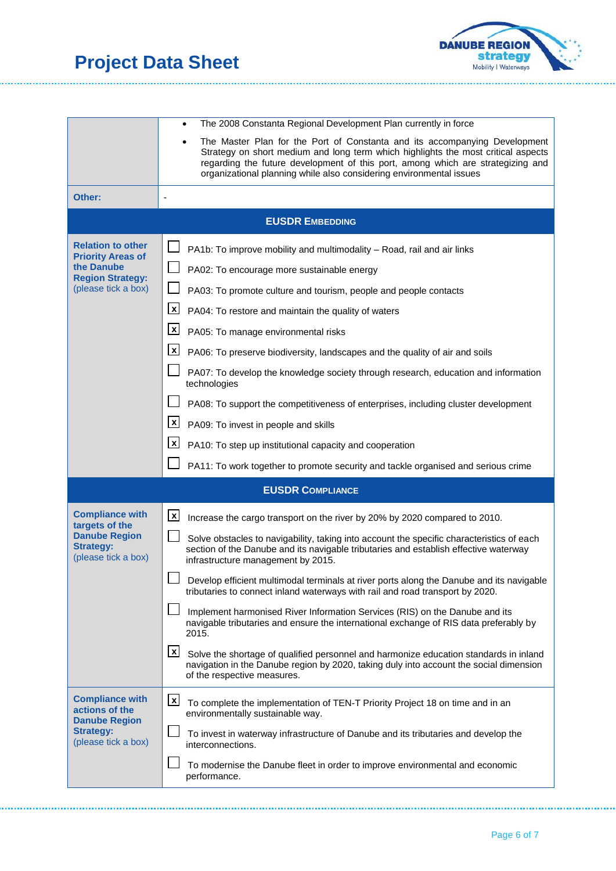

...................

|                                                                                                                      | The 2008 Constanta Regional Development Plan currently in force                                                                                                                                                                                                                                                                                                                                                                                                                                                                                                                                                                                                                                                                                                                                                                                                                                                       |
|----------------------------------------------------------------------------------------------------------------------|-----------------------------------------------------------------------------------------------------------------------------------------------------------------------------------------------------------------------------------------------------------------------------------------------------------------------------------------------------------------------------------------------------------------------------------------------------------------------------------------------------------------------------------------------------------------------------------------------------------------------------------------------------------------------------------------------------------------------------------------------------------------------------------------------------------------------------------------------------------------------------------------------------------------------|
|                                                                                                                      | The Master Plan for the Port of Constanta and its accompanying Development<br>Strategy on short medium and long term which highlights the most critical aspects<br>regarding the future development of this port, among which are strategizing and<br>organizational planning while also considering environmental issues                                                                                                                                                                                                                                                                                                                                                                                                                                                                                                                                                                                             |
| Other:                                                                                                               |                                                                                                                                                                                                                                                                                                                                                                                                                                                                                                                                                                                                                                                                                                                                                                                                                                                                                                                       |
|                                                                                                                      | <b>EUSDR EMBEDDING</b>                                                                                                                                                                                                                                                                                                                                                                                                                                                                                                                                                                                                                                                                                                                                                                                                                                                                                                |
| <b>Relation to other</b><br><b>Priority Areas of</b><br>the Danube<br><b>Region Strategy:</b><br>(please tick a box) | PA1b: To improve mobility and multimodality - Road, rail and air links<br>PA02: To encourage more sustainable energy<br>PA03: To promote culture and tourism, people and people contacts<br>$\mathbf{x}$<br>PA04: To restore and maintain the quality of waters<br>$\mathbf{x}$<br>PA05: To manage environmental risks<br>$\mathbf{x}$<br>PA06: To preserve biodiversity, landscapes and the quality of air and soils<br>PA07: To develop the knowledge society through research, education and information<br>technologies<br>PA08: To support the competitiveness of enterprises, including cluster development                                                                                                                                                                                                                                                                                                     |
|                                                                                                                      | $\mathbf{x}$<br>PA09: To invest in people and skills<br>$\mathbf{x}$<br>PA10: To step up institutional capacity and cooperation<br>PA11: To work together to promote security and tackle organised and serious crime                                                                                                                                                                                                                                                                                                                                                                                                                                                                                                                                                                                                                                                                                                  |
|                                                                                                                      | <b>EUSDR COMPLIANCE</b>                                                                                                                                                                                                                                                                                                                                                                                                                                                                                                                                                                                                                                                                                                                                                                                                                                                                                               |
| <b>Compliance with</b><br>targets of the<br><b>Danube Region</b><br><b>Strategy:</b><br>(please tick a box)          | $\mathbf{x}$<br>Increase the cargo transport on the river by 20% by 2020 compared to 2010.<br>Solve obstacles to navigability, taking into account the specific characteristics of each<br>section of the Danube and its navigable tributaries and establish effective waterway<br>infrastructure management by 2015.<br>Develop efficient multimodal terminals at river ports along the Danube and its navigable<br>tributaries to connect inland waterways with rail and road transport by 2020.<br>Implement harmonised River Information Services (RIS) on the Danube and its<br>navigable tributaries and ensure the international exchange of RIS data preferably by<br>2015.<br>$\mathbf{x}$<br>Solve the shortage of qualified personnel and harmonize education standards in inland<br>navigation in the Danube region by 2020, taking duly into account the social dimension<br>of the respective measures. |
| <b>Compliance with</b><br>actions of the<br><b>Danube Region</b><br><b>Strategy:</b><br>(please tick a box)          | $\mathbf{x}$<br>To complete the implementation of TEN-T Priority Project 18 on time and in an<br>environmentally sustainable way.<br>To invest in waterway infrastructure of Danube and its tributaries and develop the<br>interconnections.<br>To modernise the Danube fleet in order to improve environmental and economic<br>performance.                                                                                                                                                                                                                                                                                                                                                                                                                                                                                                                                                                          |